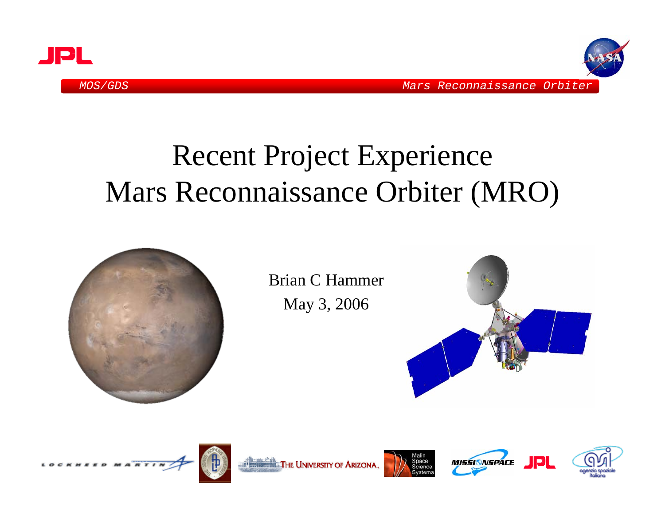



# Recent Project Experience Mars Reconnaissance Orbiter (MRO)



Brian C HammerMay 3, 2006











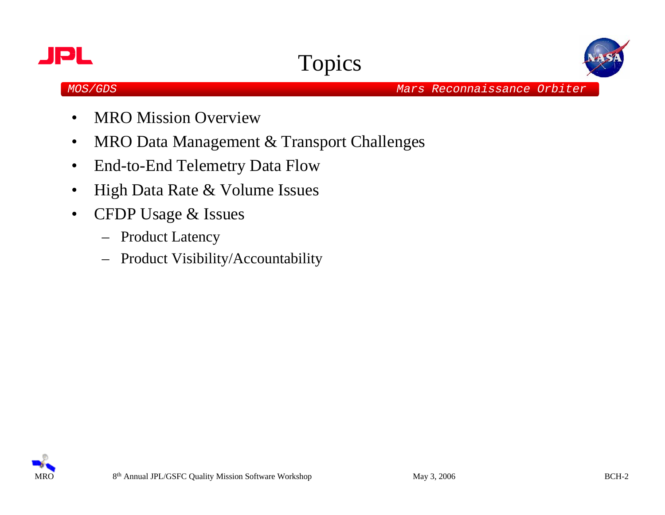





- •MRO Mission Overview
- •MRO Data Management & Transport Challenges
- $\bullet$ End-to-End Telemetry Data Flow
- •High Data Rate & Volume Issues
- • CFDP Usage & Issues
	- Product Latency
	- –Product Visibility/Accountability

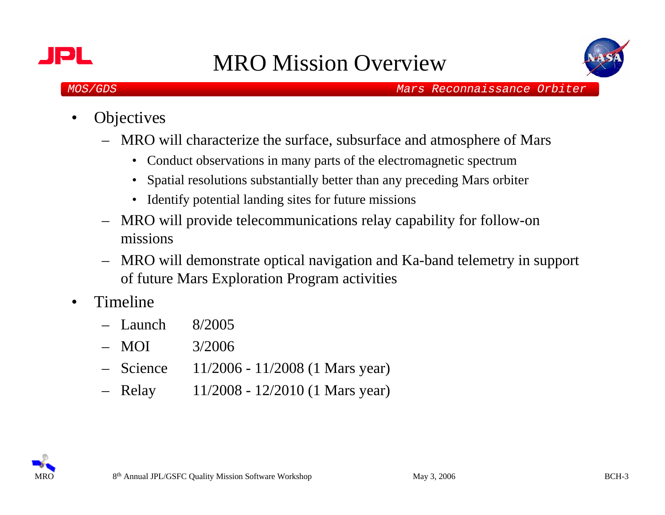



- •**Objectives** 
	- MRO will characterize the surface, subsurface and atmosphere of Mars
		- Conduct observations in many parts of the electromagnetic spectrum
		- $\bullet$ Spatial resolutions substantially better than any preceding Mars orbiter
		- Identify potential landing sites for future missions
	- MRO will provide telecommunications relay capability for follow-on missions
	- – MRO will demonstrate optical navigation and Ka-band telemetry in support of future Mars Exploration Program activities
- • Timeline
	- Launch 8/2005
	- –3/2006
	- Science 11/2006 11/2008 (1 Mars year)
	- Relay 11/2008 - 12/2010 (1 Mars year)

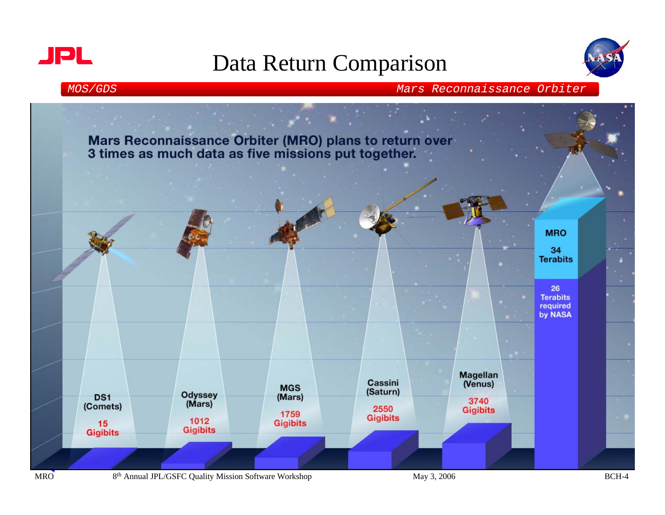



*MOS/GDS Mars Reconnaissance Orbiter*



**MRO**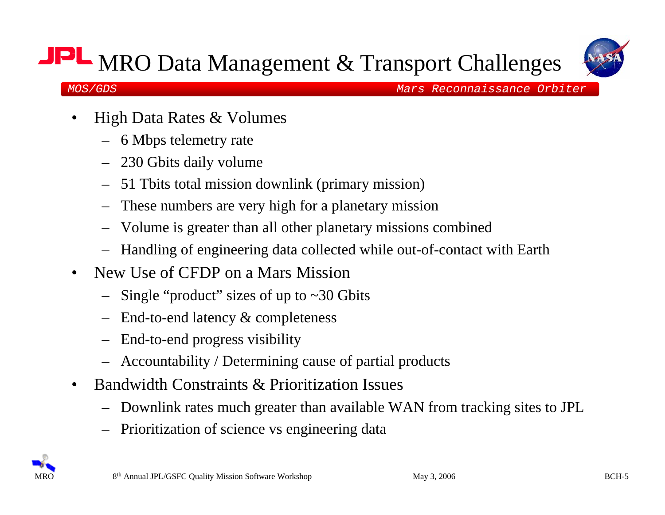## MRO Data Management & Transport Challenges



- • High Data Rates & Volumes
	- 6 Mbps telemetry rate
	- 230 Gbits daily volume
	- 51 Tbits total mission downlink (primary mission)
	- These numbers are very high for a planetary mission
	- Volume is greater than all other planetary missions combined
	- Handling of engineering data collected while out-of-contact with Earth
- • New Use of CFDP on a Mars Mission
	- Single "product" sizes of up to ~30 Gbits
	- End-to-end latency & completeness
	- End-to-end progress visibility
	- Accountability / Determining cause of partial products
- $\bullet$  Bandwidth Constraints & Prioritization Issues
	- Downlink rates much greater than available WAN from tracking sites to JPL
	- Prioritization of science vs engineering data

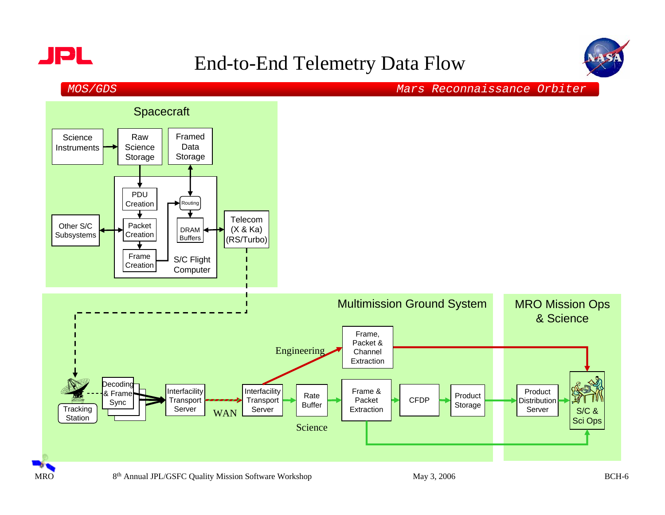



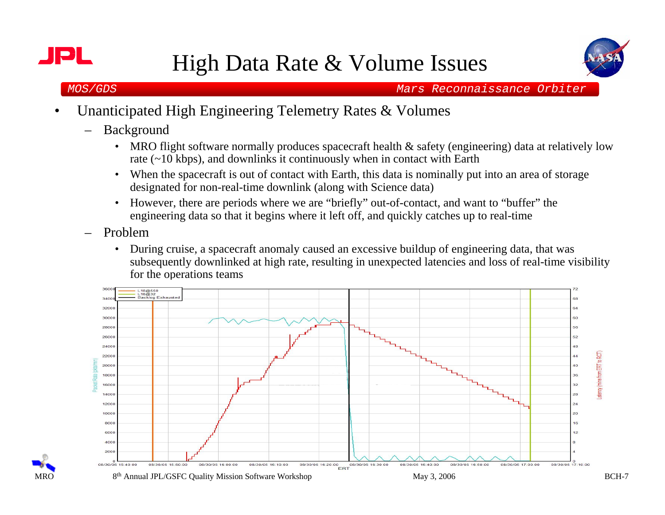

**MRO** 



- • Unanticipated High Engineering Telemetry Rates & Volumes
	- Background
		- MRO flight software normally produces spacecraft health & safety (engineering) data at relatively low rate (~10 kbps), and downlinks it continuously when in contact with Earth
		- •When the spacecraft is out of contact with Earth, this data is nominally put into an area of storage designated for non-real-time downlink (along with Science data)
		- However, there are periods where we are "briefly" out-of-contact, and want to "buffer" the engineering data so that it begins where it left off, and quickly catches up to real-time
	- Problem
		- • During cruise, a spacecraft anomaly caused an excessive buildup of engineering data, that was subsequently downlinked at high rate, resulting in unexpected latencies and loss of real-time visibility for the operations teams

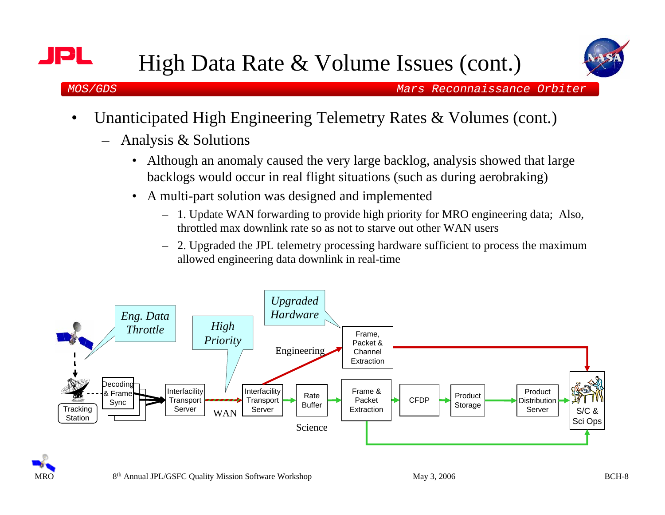



o II

- • Unanticipated High Engineering Telemetry Rates & Volumes (cont.)
	- Analysis & Solutions
		- • Although an anomaly caused the very large backlog, analysis showed that large backlogs would occur in real flight situations (such as during aerobraking)
		- • A multi-part solution was designed and implemented
			- 1. Update WAN forwarding to provide high priority for MRO engineering data; Also, throttled max downlink rate so as not to starve out other WAN users
			- – 2. Upgraded the JPL telemetry processing hardware sufficient to process the maximum allowed engineering data downlink in real-time



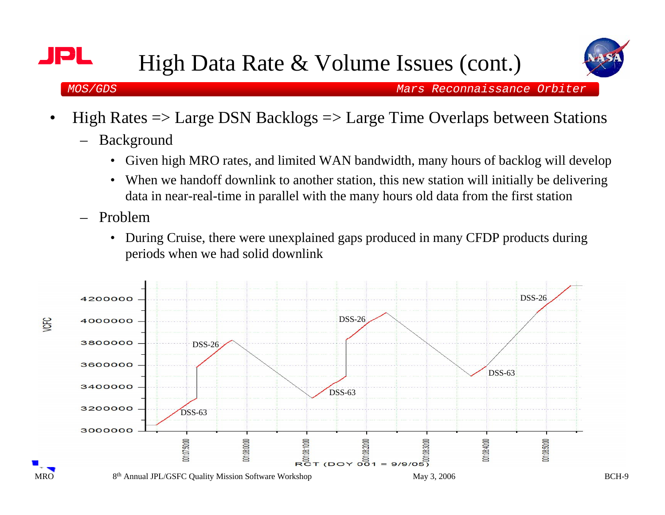

- • High Rates => Large DSN Backlogs => Large Time Overlaps between Stations
	- Background
		- Given high MRO rates, and limited WAN bandwidth, many hours of backlog will develop
		- • When we handoff downlink to another station, this new station will initially be delivering data in near-real-time in parallel with the many hours old data from the first station
	- Problem
		- • During Cruise, there were unexplained gaps produced in many CFDP products during periods when we had solid downlink

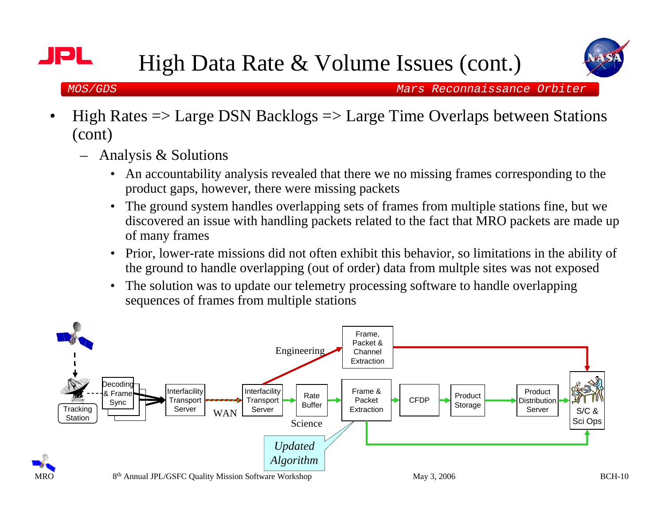

e l

- • High Rates => Large DSN Backlogs => Large Time Overlaps between Stations (cont)
	- Analysis & Solutions
		- • An accountability analysis revealed that there we no missing frames corresponding to the product gaps, however, there were missing packets
		- • The ground system handles overlapping sets of frames from multiple stations fine, but we discovered an issue with handling packets related to the fact that MRO packets are made up of many frames
		- $\bullet$  Prior, lower-rate missions did not often exhibit this behavior, so limitations in the ability of the ground to handle overlapping (out of order) data from multple sites was not exposed
		- • The solution was to update our telemetry processing software to handle overlapping sequences of frames from multiple stations

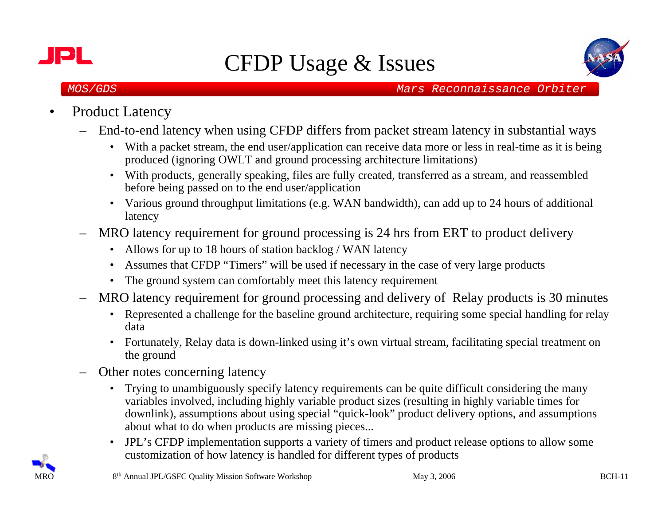



- • Product Latency
	- End-to-end latency when using CFDP differs from packet stream latency in substantial ways
		- With a packet stream, the end user/application can receive data more or less in real-time as it is being produced (ignoring OWLT and ground processing architecture limitations)
		- With products, generally speaking, files are fully created, transferred as a stream, and reassembled before being passed on to the end user/application
		- Various ground throughput limitations (e.g. WAN bandwidth), can add up to 24 hours of additional latency
	- – MRO latency requirement for ground processing is 24 hrs from ERT to product delivery
		- Allows for up to 18 hours of station backlog / WAN latency
		- Assumes that CFDP "Timers" will be used if necessary in the case of very large products
		- The ground system can comfortably meet this latency requirement
	- MRO latency requirement for ground processing and delivery of Relay products is 30 minutes
		- Represented a challenge for the baseline ground architecture, requiring some special handling for relay data
		- Fortunately, Relay data is down-linked using it's own virtual stream, facilitating special treatment on the ground
	- Other notes concerning latency
		- Trying to unambiguously specify latency requirements can be quite difficult considering the many variables involved, including highly variable product sizes (resulting in highly variable times for downlink), assumptions about using special "quick-look" product delivery options, and assumptions about what to do when products are missing pieces...
		- $\bullet$  JPL's CFDP implementation supports a variety of timers and product release options to allow some customization of how latency is handled for different types of products

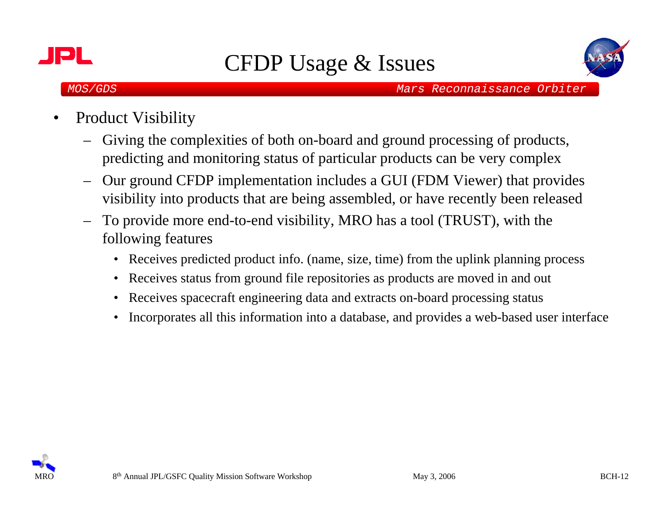



- • Product Visibility
	- Giving the complexities of both on-board and ground processing of products, predicting and monitoring status of particular products can be very complex
	- – Our ground CFDP implementation includes a GUI (FDM Viewer) that provides visibility into products that are being assembled, or have recently been released
	- – To provide more end-to-end visibility, MRO has a tool (TRUST), with the following features
		- Receives predicted product info. (name, size, time) from the uplink planning process
		- $\bullet$ Receives status from ground file repositories as products are moved in and out
		- $\bullet$ Receives spacecraft engineering data and extracts on-board processing status
		- •Incorporates all this information into a database, and provides a web-based user interface

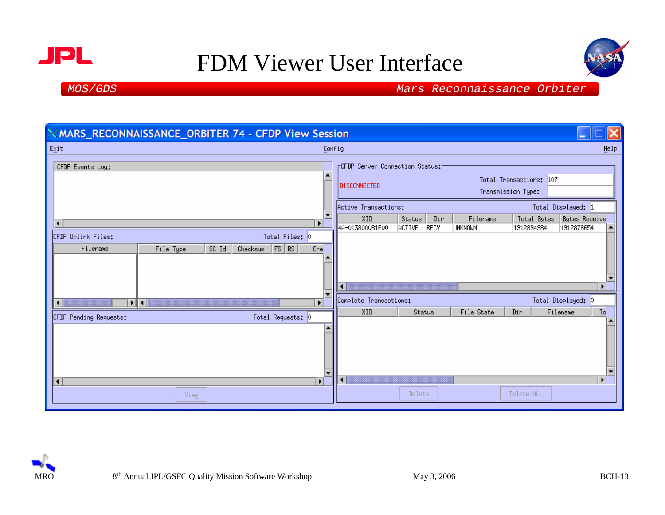



| X MARS_RECONNAISSANCE_ORBITER 74 - CFDP View Session                                               |                                                                                                                                                   |                                                                                                            |  |  |  |  |  |  |  |  |  |
|----------------------------------------------------------------------------------------------------|---------------------------------------------------------------------------------------------------------------------------------------------------|------------------------------------------------------------------------------------------------------------|--|--|--|--|--|--|--|--|--|
| Exit                                                                                               |                                                                                                                                                   | Config<br>Help                                                                                             |  |  |  |  |  |  |  |  |  |
| CFDP Events Log:                                                                                   | <b>FCFDP</b> Server Connection Status:<br>$\hat{=}$<br>Total Transactions: 107<br><b>DISCONNECTED</b><br>Transmission Type:                       |                                                                                                            |  |  |  |  |  |  |  |  |  |
|                                                                                                    | Total Displayed: 1<br>Active Transactions:<br>$\overline{\phantom{0}}$<br>XID<br>Status<br>Filename<br>Dir<br><b>Bytes Receive</b><br>Total Bytes |                                                                                                            |  |  |  |  |  |  |  |  |  |
| $\left  \cdot \right $                                                                             | $\blacktriangleright$                                                                                                                             | 4A-013800081E00<br><b>RECV</b><br>unknomn<br><b>ACTIVE</b><br>1912894984<br>1912878654<br>$\blacktriangle$ |  |  |  |  |  |  |  |  |  |
| CFDP Uplink Files:<br>Total Files: 0<br>$ $ RS<br>Filename<br>SC Id<br>FS<br>File Type<br>Checksum | Cre<br>$\overline{\phantom{a}}$                                                                                                                   | $\blacktriangleright$                                                                                      |  |  |  |  |  |  |  |  |  |
| $\left  \cdot \right $<br>▶ ∥ ◀ │                                                                  | $\blacktriangleright$                                                                                                                             | Total Displayed: 0<br>Complete Transactions:                                                               |  |  |  |  |  |  |  |  |  |
| Total Requests: 0<br>CFDP Pending Requests:                                                        |                                                                                                                                                   | To<br>XID<br>Status<br>Filename<br>File State<br>Dir<br>▲                                                  |  |  |  |  |  |  |  |  |  |
| $\blacktriangleleft$                                                                               | $\blacktriangle$<br>▼<br>$\blacktriangleright$                                                                                                    | $\overline{\phantom{a}}$<br>$\blacktriangleright$ $\vdash$<br>$\blacktriangleleft$                         |  |  |  |  |  |  |  |  |  |
| View                                                                                               |                                                                                                                                                   | Delete<br>Delete ALL                                                                                       |  |  |  |  |  |  |  |  |  |

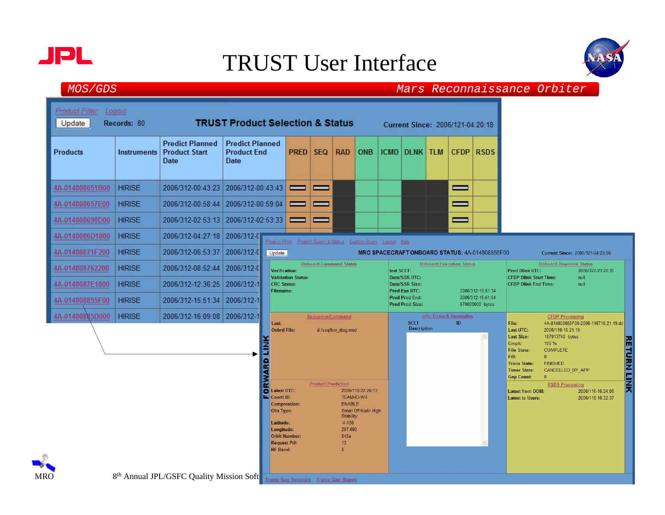

**MRO** 

### TRUST User Interface



| Product Filter<br>Logout<br><b>TRUST Product Selection &amp; Status</b><br>Records: 80<br>Update<br>Current Since: 2006/121-04:20:18 |                    |                                                                             |                                                      |                                                                                                                                                                         |                                                                 |                               |                                                                                           |                                           |                                   |                                                  |                                 |                                                                                                                                                     |                                                                                                                                                                 |                                       |                                        |  |
|--------------------------------------------------------------------------------------------------------------------------------------|--------------------|-----------------------------------------------------------------------------|------------------------------------------------------|-------------------------------------------------------------------------------------------------------------------------------------------------------------------------|-----------------------------------------------------------------|-------------------------------|-------------------------------------------------------------------------------------------|-------------------------------------------|-----------------------------------|--------------------------------------------------|---------------------------------|-----------------------------------------------------------------------------------------------------------------------------------------------------|-----------------------------------------------------------------------------------------------------------------------------------------------------------------|---------------------------------------|----------------------------------------|--|
| <b>Products</b>                                                                                                                      | <b>Instruments</b> | <b>Predict Planned</b><br><b>Product Start</b><br>Date                      | <b>Predict Planned</b><br><b>Product End</b><br>Date |                                                                                                                                                                         | <b>PRED</b>                                                     | <b>SEQ</b>                    | <b>RAD</b>                                                                                | ONB                                       |                                   | <b>ICMD DLNK TLM</b>                             | <b>CFDP</b>                     | <b>RSDS</b>                                                                                                                                         |                                                                                                                                                                 |                                       |                                        |  |
| 4A-014808651B00                                                                                                                      | <b>HIRISE</b>      | 2006/312-00:43:23                                                           | 2006/312-00:43:43                                    |                                                                                                                                                                         | =                                                               | _                             |                                                                                           |                                           |                                   |                                                  | _                               |                                                                                                                                                     |                                                                                                                                                                 |                                       |                                        |  |
| 4A-014808657E00                                                                                                                      | <b>HIRISE</b>      | 2006/312-00:58:44                                                           | 2006/312-00:59:04                                    |                                                                                                                                                                         | =                                                               | _                             |                                                                                           |                                           |                                   |                                                  | =                               |                                                                                                                                                     |                                                                                                                                                                 |                                       |                                        |  |
| 4A-014808698D00                                                                                                                      | <b>HIRISE</b>      | 2006/312-02:53:13                                                           | 2006/312-02:53:33                                    |                                                                                                                                                                         | —                                                               | =                             |                                                                                           |                                           |                                   |                                                  | $\equiv$                        |                                                                                                                                                     |                                                                                                                                                                 |                                       |                                        |  |
| 4A-0148086D1800                                                                                                                      | <b>HIRISE</b>      | 2006/312-04:27:18                                                           | 2006/312-0                                           |                                                                                                                                                                         | Product Filter Product Select & Status Custom Query Logout Help |                               |                                                                                           |                                           |                                   |                                                  |                                 |                                                                                                                                                     |                                                                                                                                                                 |                                       |                                        |  |
| 4A-01480871F200                                                                                                                      | <b>HIRISE</b>      | 2006/312-06:53:37                                                           | 2006/312-0                                           | Update                                                                                                                                                                  |                                                                 |                               |                                                                                           |                                           |                                   |                                                  |                                 | MRO SPACECRAFT ONBOARD STATUS: 4A-014808855F00                                                                                                      |                                                                                                                                                                 |                                       | Current Since: 2006/121-04:23:06       |  |
| 4A-014808762200                                                                                                                      | <b>HIRISE</b>      | 2006/312-08:52:44                                                           | 2006/312-0                                           | <b>Verification:</b>                                                                                                                                                    |                                                                 | <b>Onboard Command Status</b> |                                                                                           |                                           | Inst SCET:                        |                                                  | <b>Onboard Execution Status</b> |                                                                                                                                                     | <b>Onboard Downlink Status</b><br><b>Pred Dlink UTC:</b><br>2006/322-23:28:35                                                                                   |                                       |                                        |  |
| 4A-0148087E1800                                                                                                                      | <b>HIRISE</b>      | 2006/312-12:36:25                                                           | 2006/312-1                                           | <b>Validation Status:</b><br><b>CRC Status:</b><br><b>Filename:</b>                                                                                                     |                                                                 |                               |                                                                                           |                                           |                                   | Data/SSR UTC:<br>Data/SSR Size:<br>Pred Exe UTC: |                                 | 2006/312-15:51:34                                                                                                                                   | <b>CFDP Dlink Start Time:</b><br>null<br><b>CFDP Dlink End Time:</b><br>null                                                                                    |                                       |                                        |  |
| 4A-014808855F00                                                                                                                      | <b>HIRISE</b>      | 2006/312-15:51:34                                                           | 2006/312-1                                           |                                                                                                                                                                         |                                                                 |                               |                                                                                           |                                           |                                   | <b>Pred Prod End:</b><br><b>Pred Prod Size:</b>  |                                 | 2006/312-15:51:54<br>870000000 bytes                                                                                                                |                                                                                                                                                                 |                                       |                                        |  |
| 4A-01480885D000                                                                                                                      | <b>HIRISE</b>      | 2006/312-16:09:08 2006/312-1                                                |                                                      | Sequence/Command<br>Last:<br><b>Onbrd File:</b><br>d:/seq/fsw_diag.mod<br><b>ORWARD LINK</b>                                                                            |                                                                 |                               |                                                                                           |                                           | <b>SCET</b><br><b>Description</b> | Info, Errors & Anomalies<br>ID                   |                                 | File:<br>Last UTC:<br><b>Last Size:</b><br>Cmplt:<br><b>File State:</b><br>Fill:<br><b>Trans State:</b><br><b>Timer State:</b><br><b>Gap Count:</b> | <b>CFDP Processing</b><br>2006/116-16:21:19<br>187913740 bytes<br>100 %<br><b>COMPLETE</b><br>$\overline{0}$<br><b>FINISHED</b><br>CANCELLED BY APP<br>$\bf{0}$ | 4A-014808855F00-2006-116T16.21.19.dtl |                                        |  |
| O.                                                                                                                                   |                    | 8th Annual JPL/GSFC Quality Mission Soft Frame Gap Summary Frame Gap Report |                                                      | <b>Latest UTC:</b><br>т.<br>Coortl ID:<br><b>Compression:</b><br>Obs Type:<br>Latitude:<br>Longitude:<br><b>Orbit Number:</b><br><b>Request Pri:</b><br><b>RF Band:</b> |                                                                 | <b>Product Prediction</b>     | TEAM-IO-WX<br><b>ENABLE</b><br><b>Stability</b><br>$-4.430$<br>297.690<br>545a<br>13<br>X | 2006/118-22:26:13<br>Small Off-Nadir High |                                   |                                                  |                                 |                                                                                                                                                     | <b>Latest from DOM:</b><br><b>Latest to Users:</b>                                                                                                              | <b>RSDS Processing</b>                | 2006/116-16:24:08<br>2006/116-16:32:37 |  |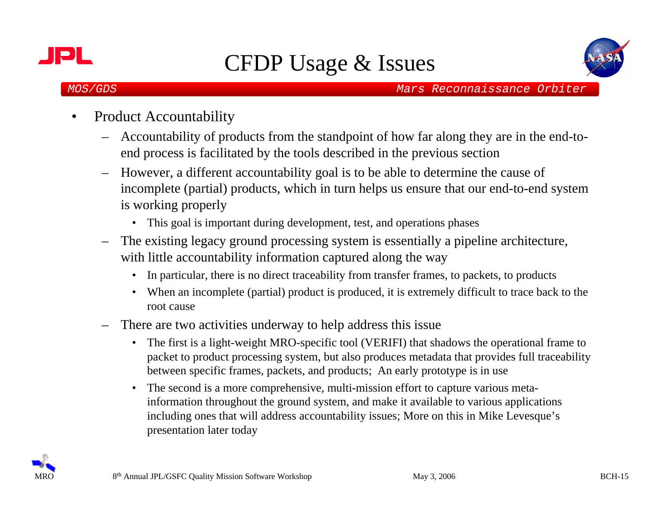



- • Product Accountability
	- Accountability of products from the standpoint of how far along they are in the end-toend process is facilitated by the tools described in the previous section
	- However, a different accountability goal is to be able to determine the cause of incomplete (partial) products, which in turn helps us ensure that our end-to-end system is working properly
		- This goal is important during development, test, and operations phases
	- – The existing legacy ground processing system is essentially a pipeline architecture, with little accountability information captured along the way
		- •In particular, there is no direct traceability from transfer frames, to packets, to products
		- When an incomplete (partial) product is produced, it is extremely difficult to trace back to the root cause
	- – There are two activities underway to help address this issue
		- $\bullet$  The first is a light-weight MRO-specific tool (VERIFI) that shadows the operational frame to packet to product processing system, but also produces metadata that provides full traceability between specific frames, packets, and products; An early prototype is in use
		- The second is a more comprehensive, multi-mission effort to capture various metainformation throughout the ground system, and make it available to various applications including ones that will address accountability issues; More on this in Mike Levesque's presentation later today